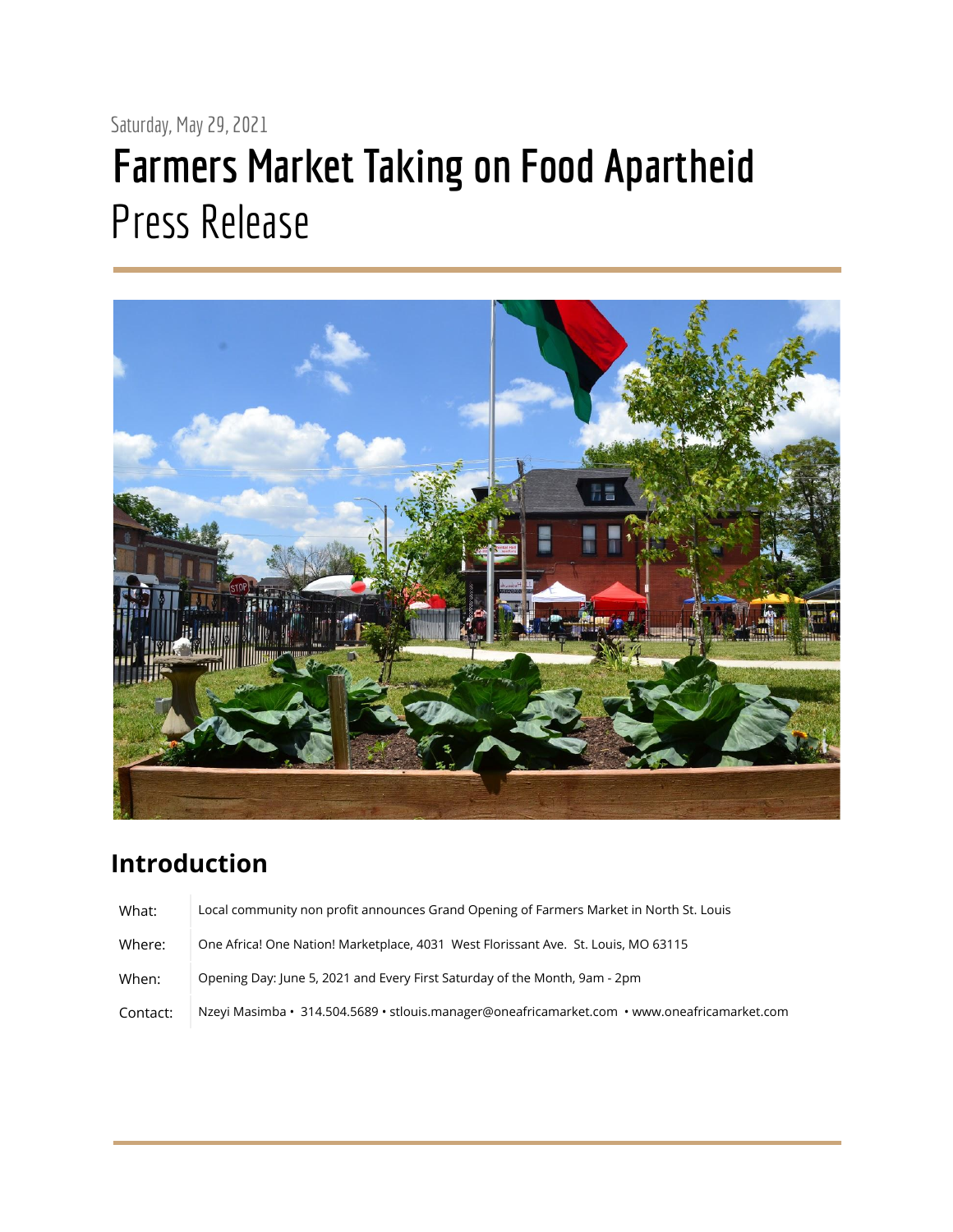## Saturday, May 29, 2021 **Farmers Market Taking on Food Apartheid** Press Release



## **Introduction**

| What:    | Local community non profit announces Grand Opening of Farmers Market in North St. Louis      |
|----------|----------------------------------------------------------------------------------------------|
| Where:   | One Africa! One Nation! Marketplace, 4031 West Florissant Ave. St. Louis, MO 63115           |
| When:    | Opening Day: June 5, 2021 and Every First Saturday of the Month, 9am - 2pm                   |
| Contact: | Nzeyi Masimba · 314.504.5689 · stlouis.manager@oneafricamarket.com · www.oneafricamarket.com |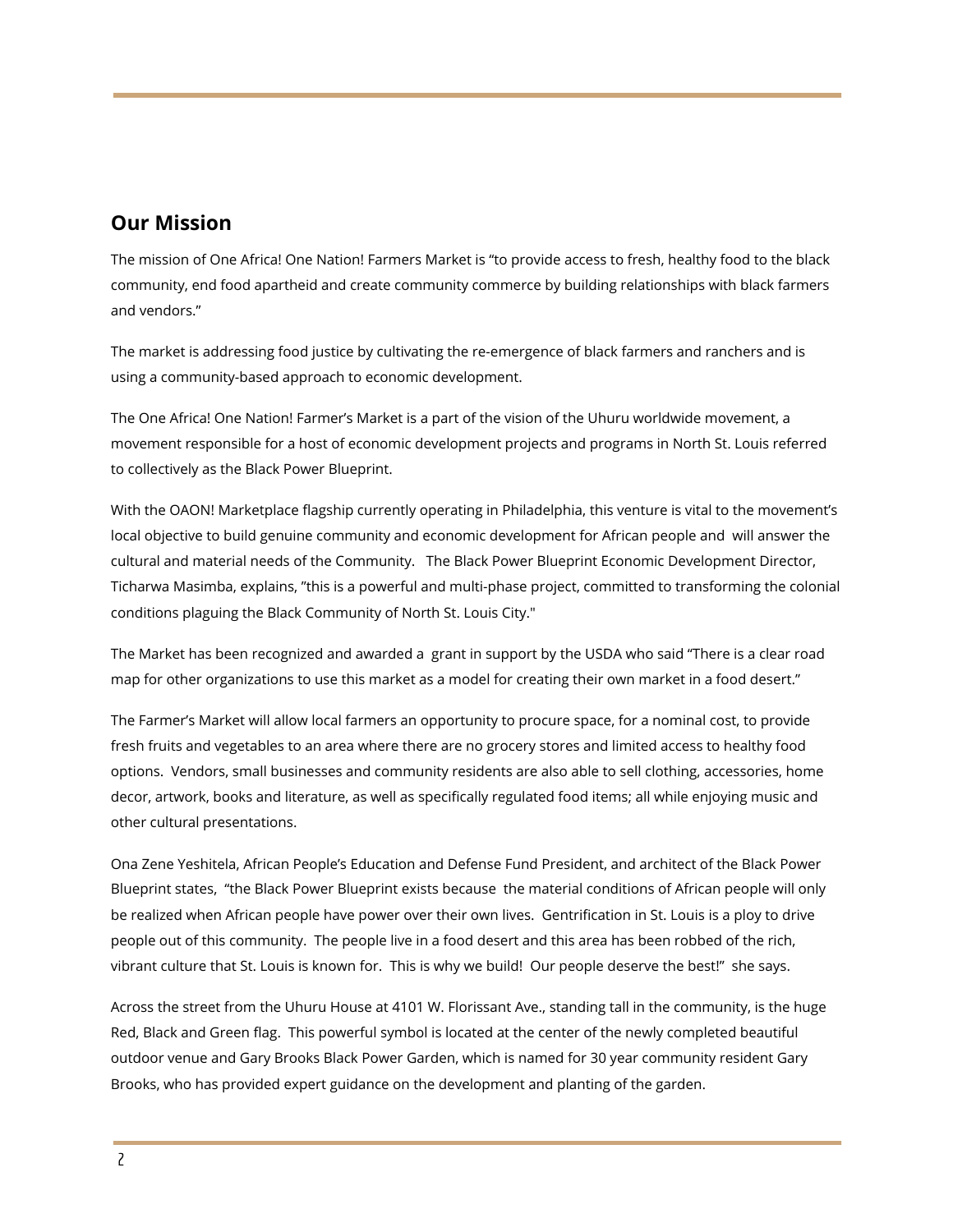## **Our Mission**

The mission of One Africa! One Nation! Farmers Market is "to provide access to fresh, healthy food to the black community, end food apartheid and create community commerce by building relationships with black farmers and vendors."

The market is addressing food justice by cultivating the re-emergence of black farmers and ranchers and is using a community-based approach to economic development.

The One Africa! One Nation! Farmer's Market is a part of the vision of the Uhuru worldwide movement, a movement responsible for a host of economic development projects and programs in North St. Louis referred to collectively as the Black Power Blueprint.

With the OAON! Marketplace flagship currently operating in Philadelphia, this venture is vital to the movement's local objective to build genuine community and economic development for African people and will answer the cultural and material needs of the Community. The Black Power Blueprint Economic Development Director, Ticharwa Masimba, explains, "this is a powerful and multi-phase project, committed to transforming the colonial conditions plaguing the Black Community of North St. Louis City."

The Market has been recognized and awarded a grant in support by the USDA who said "There is a clear road map for other organizations to use this market as a model for creating their own market in a food desert."

The Farmer's Market will allow local farmers an opportunity to procure space, for a nominal cost, to provide fresh fruits and vegetables to an area where there are no grocery stores and limited access to healthy food options. Vendors, small businesses and community residents are also able to sell clothing, accessories, home decor, artwork, books and literature, as well as specifically regulated food items; all while enjoying music and other cultural presentations.

Ona Zene Yeshitela, African People's Education and Defense Fund President, and architect of the Black Power Blueprint states, "the Black Power Blueprint exists because the material conditions of African people will only be realized when African people have power over their own lives. Gentrification in St. Louis is a ploy to drive people out of this community. The people live in a food desert and this area has been robbed of the rich, vibrant culture that St. Louis is known for. This is why we build! Our people deserve the best!" she says.

Across the street from the Uhuru House at 4101 W. Florissant Ave., standing tall in the community, is the huge Red, Black and Green flag. This powerful symbol is located at the center of the newly completed beautiful outdoor venue and Gary Brooks Black Power Garden, which is named for 30 year community resident Gary Brooks, who has provided expert guidance on the development and planting of the garden.